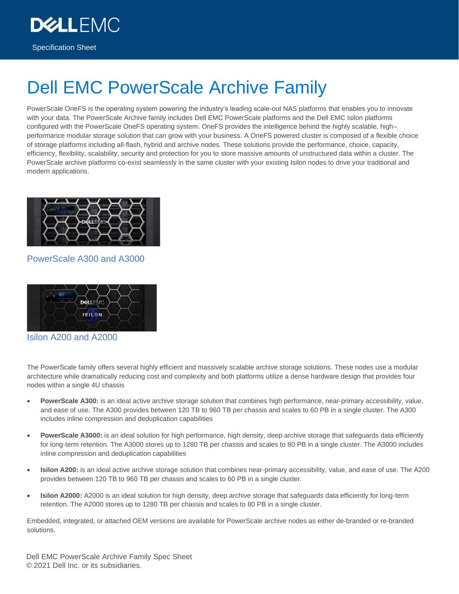Specification Sheet

**DEALLEMO** 

# Dell EMC PowerScale Archive Family

PowerScale OneFS is the operating system powering the industry's leading scale-out NAS platforms that enables you to innovate with your data. The PowerScale Archive family includes Dell EMC PowerScale platforms and the Dell EMC Isilon platforms configured with the PowerScale OneFS operating system. OneFS provides the intelligence behind the highly scalable, high– performance modular storage solution that can grow with your business. A OneFS powered cluster is composed of a flexible choice of storage platforms including all-flash, hybrid and archive nodes. These solutions provide the performance, choice, capacity, efficiency, flexibility, scalability, security and protection for you to store massive amounts of unstructured data within a cluster. The PowerScale archive platforms co-exist seamlessly in the same cluster with your existing Isilon nodes to drive your traditional and modern applications.



#### PowerScale A300 and A3000



Isilon A200 and A2000

The PowerScale family offers several highly efficient and massively scalable archive storage solutions. These nodes use a modular architecture while dramatically reducing cost and complexity and both platforms utilize a dense hardware design that provides four nodes within a single 4U chassis

- **PowerScale A300:** is an ideal active archive storage solution that combines high performance, near-primary accessibility, value, and ease of use. The A300 provides between 120 TB to 960 TB per chassis and scales to 60 PB in a single cluster. The A300 includes inline compression and deduplication capabilities
- **PowerScale A3000:** is an ideal solution for high performance, high density, deep archive storage that safeguards data efficiently for long-term retention. The A3000 stores up to 1280 TB per chassis and scales to 80 PB in a single cluster. The A3000 includes inline compression and deduplication capabilities
- **Isilon A200:** is an ideal active archive storage solution that combines near-primary accessibility, value, and ease of use. The A200 provides between 120 TB to 960 TB per chassis and scales to 60 PB in a single cluster.
- **Isilon A2000:** A2000 is an ideal solution for high density, deep archive storage that safeguards data efficiently for long-term retention. The A2000 stores up to 1280 TB per chassis and scales to 80 PB in a single cluster.

Embedded, integrated, or attached OEM versions are available for PowerScale archive nodes as either de-branded or re-branded solutions.

Dell EMC PowerScale Archive Family Spec Sheet © 2021 Dell Inc. or its subsidiaries.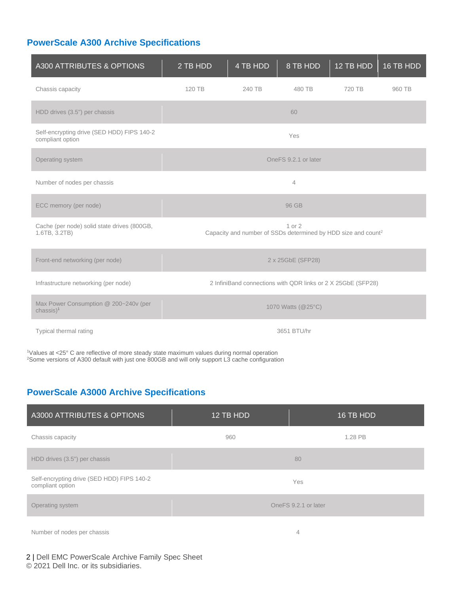# **PowerScale A300 Archive Specifications**

| A300 ATTRIBUTES & OPTIONS                                        | 2 TB HDD                                                                            | 4 TB HDD | 8 TB HDD | 12 TB HDD | 16 TB HDD |
|------------------------------------------------------------------|-------------------------------------------------------------------------------------|----------|----------|-----------|-----------|
| Chassis capacity                                                 | 120 TB                                                                              | 240 TB   | 480 TB   | 720 TB    | 960 TB    |
| HDD drives (3.5") per chassis                                    | 60                                                                                  |          |          |           |           |
| Self-encrypting drive (SED HDD) FIPS 140-2<br>compliant option   | Yes                                                                                 |          |          |           |           |
| Operating system                                                 | OneFS 9.2.1 or later                                                                |          |          |           |           |
| Number of nodes per chassis                                      | $\overline{4}$                                                                      |          |          |           |           |
| ECC memory (per node)                                            | 96 GB                                                                               |          |          |           |           |
| Cache (per node) solid state drives (800GB,<br>1.6TB, 3.2TB)     | 1 or 2<br>Capacity and number of SSDs determined by HDD size and count <sup>2</sup> |          |          |           |           |
| Front-end networking (per node)                                  | 2 x 25GbE (SFP28)                                                                   |          |          |           |           |
| Infrastructure networking (per node)                             | 2 InfiniBand connections with QDR links or 2 X 25GbE (SFP28)                        |          |          |           |           |
| Max Power Consumption @ 200~240v (per<br>$chassis)$ <sup>1</sup> | 1070 Watts (@25°C)                                                                  |          |          |           |           |
| Typical thermal rating                                           | 3651 BTU/hr                                                                         |          |          |           |           |

<sup>1</sup>Values at <25° C are reflective of more steady state maximum values during normal operation <sup>2</sup>Some versions of A300 default with just one 800GB and will only support L3 cache configuration

## **PowerScale A3000 Archive Specifications**

| A3000 ATTRIBUTES & OPTIONS                                     | 12 TB HDD            | 16 TB HDD |  |
|----------------------------------------------------------------|----------------------|-----------|--|
| Chassis capacity                                               | 960                  | 1.28 PB   |  |
| HDD drives (3.5") per chassis                                  | 80                   |           |  |
| Self-encrypting drive (SED HDD) FIPS 140-2<br>compliant option | Yes                  |           |  |
| Operating system                                               | OneFS 9.2.1 or later |           |  |
| Number of nodes per chassis                                    |                      | 4         |  |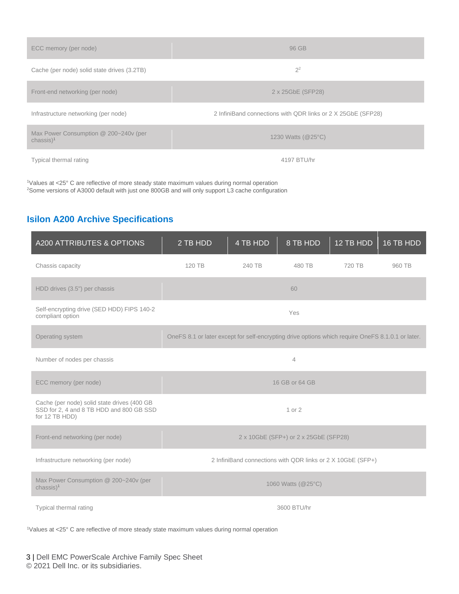| ECC memory (per node)                                            | 96 GB                                                        |  |  |
|------------------------------------------------------------------|--------------------------------------------------------------|--|--|
| Cache (per node) solid state drives (3.2TB)                      | $2^2$                                                        |  |  |
| Front-end networking (per node)                                  | 2 x 25GbE (SFP28)                                            |  |  |
| Infrastructure networking (per node)                             | 2 InfiniBand connections with QDR links or 2 X 25GbE (SFP28) |  |  |
| Max Power Consumption @ 200~240v (per<br>$chassis)$ <sup>1</sup> | 1230 Watts (@25°C)                                           |  |  |
| Typical thermal rating                                           | 4197 BTU/hr                                                  |  |  |

<sup>1</sup>Values at <25° C are reflective of more steady state maximum values during normal operation <sup>2</sup>Some versions of A3000 default with just one 800GB and will only support L3 cache configuration

# **Isilon A200 Archive Specifications**

| A200 ATTRIBUTES & OPTIONS                                                                                 | 2 TB HDD                                                                                          | 4 TB HDD | 8 TB HDD | 12 TB HDD | 16 TB HDD |
|-----------------------------------------------------------------------------------------------------------|---------------------------------------------------------------------------------------------------|----------|----------|-----------|-----------|
| Chassis capacity                                                                                          | 120 TB                                                                                            | 240 TB   | 480 TB   | 720 TB    | 960 TB    |
| HDD drives (3.5") per chassis                                                                             |                                                                                                   |          | 60       |           |           |
| Self-encrypting drive (SED HDD) FIPS 140-2<br>compliant option                                            |                                                                                                   |          | Yes      |           |           |
| Operating system                                                                                          | OneFS 8.1 or later except for self-encrypting drive options which require OneFS 8.1.0.1 or later. |          |          |           |           |
| Number of nodes per chassis                                                                               | $\overline{4}$                                                                                    |          |          |           |           |
| ECC memory (per node)                                                                                     | 16 GB or 64 GB                                                                                    |          |          |           |           |
| Cache (per node) solid state drives (400 GB<br>SSD for 2, 4 and 8 TB HDD and 800 GB SSD<br>for 12 TB HDD) | 1 or 2                                                                                            |          |          |           |           |
| Front-end networking (per node)                                                                           | 2 x 10GbE (SFP+) or 2 x 25GbE (SFP28)                                                             |          |          |           |           |
| Infrastructure networking (per node)                                                                      | 2 InfiniBand connections with QDR links or 2 X 10GbE (SFP+)                                       |          |          |           |           |
| Max Power Consumption @ 200~240v (per<br>$chassis)$ <sup>1</sup>                                          | 1060 Watts (@25°C)                                                                                |          |          |           |           |
| Typical thermal rating                                                                                    | 3600 BTU/hr                                                                                       |          |          |           |           |

<sup>1</sup>Values at <25° C are reflective of more steady state maximum values during normal operation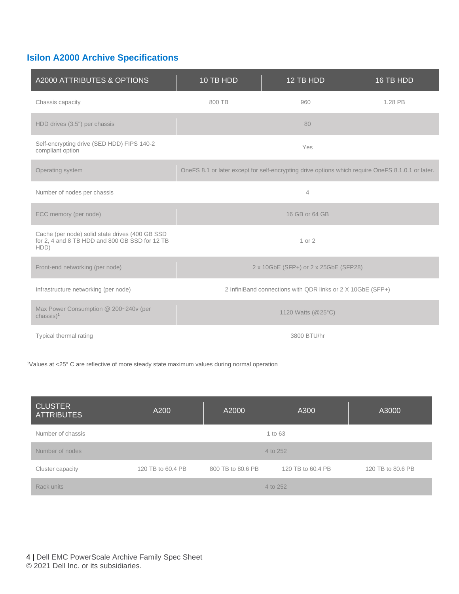### **Isilon A2000 Archive Specifications**

| A2000 ATTRIBUTES & OPTIONS                                                                                | 10 TB HDD                                                                                         | 12 TB HDD | 16 TB HDD |  |
|-----------------------------------------------------------------------------------------------------------|---------------------------------------------------------------------------------------------------|-----------|-----------|--|
| Chassis capacity                                                                                          | 800 TB                                                                                            | 960       | 1.28 PB   |  |
| HDD drives (3.5") per chassis                                                                             | 80                                                                                                |           |           |  |
| Self-encrypting drive (SED HDD) FIPS 140-2<br>compliant option                                            | Yes                                                                                               |           |           |  |
| Operating system                                                                                          | OneFS 8.1 or later except for self-encrypting drive options which require OneFS 8.1.0.1 or later. |           |           |  |
| Number of nodes per chassis                                                                               | $\overline{4}$                                                                                    |           |           |  |
| ECC memory (per node)                                                                                     | 16 GB or 64 GB                                                                                    |           |           |  |
| Cache (per node) solid state drives (400 GB SSD<br>for 2, 4 and 8 TB HDD and 800 GB SSD for 12 TB<br>HDD) | 1 or 2                                                                                            |           |           |  |
| Front-end networking (per node)                                                                           | 2 x 10GbE (SFP+) or 2 x 25GbE (SFP28)                                                             |           |           |  |
| Infrastructure networking (per node)                                                                      | 2 InfiniBand connections with QDR links or 2 X 10GbE (SFP+)                                       |           |           |  |
| Max Power Consumption @ 200~240v (per<br>$chassis)$ <sup>1</sup>                                          | 1120 Watts (@25°C)                                                                                |           |           |  |
| Typical thermal rating                                                                                    | 3800 BTU/hr                                                                                       |           |           |  |

<sup>1</sup>Values at <25° C are reflective of more steady state maximum values during normal operation

| <b>CLUSTER</b><br><b>ATTRIBUTES</b> | A200              | A2000             | A300              | A3000             |
|-------------------------------------|-------------------|-------------------|-------------------|-------------------|
| Number of chassis                   |                   |                   | 1 to 63           |                   |
| Number of nodes                     |                   |                   | 4 to 252          |                   |
| Cluster capacity                    | 120 TB to 60.4 PB | 800 TB to 80.6 PB | 120 TB to 60.4 PB | 120 TB to 80.6 PB |
| Rack units                          |                   |                   | 4 to 252          |                   |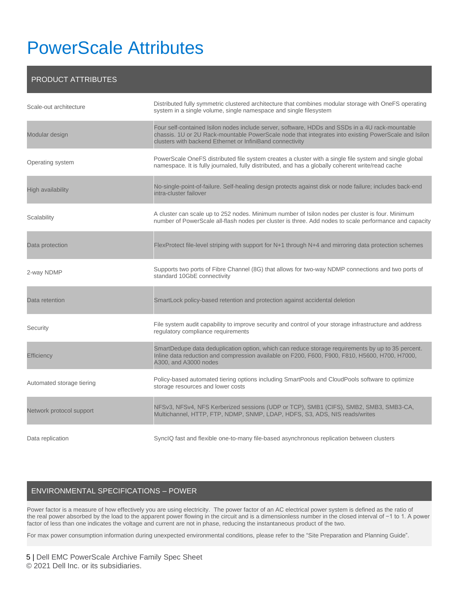# PowerScale Attributes

#### PRODUCT ATTRIBUTES

| Scale-out architecture    | Distributed fully symmetric clustered architecture that combines modular storage with OneFS operating<br>system in a single volume, single namespace and single filesystem                                                                                           |
|---------------------------|----------------------------------------------------------------------------------------------------------------------------------------------------------------------------------------------------------------------------------------------------------------------|
| Modular design            | Four self-contained Isilon nodes include server, software, HDDs and SSDs in a 4U rack-mountable<br>chassis. 1U or 2U Rack-mountable PowerScale node that integrates into existing PowerScale and Isilon<br>clusters with backend Ethernet or InfiniBand connectivity |
| Operating system          | PowerScale OneFS distributed file system creates a cluster with a single file system and single global<br>namespace. It is fully journaled, fully distributed, and has a globally coherent write/read cache                                                          |
| <b>High availability</b>  | No-single-point-of-failure. Self-healing design protects against disk or node failure; includes back-end<br>intra-cluster failover                                                                                                                                   |
| Scalability               | A cluster can scale up to 252 nodes. Minimum number of Isilon nodes per cluster is four. Minimum<br>number of PowerScale all-flash nodes per cluster is three. Add nodes to scale performance and capacity                                                           |
| Data protection           | FlexProtect file-level striping with support for N+1 through N+4 and mirroring data protection schemes                                                                                                                                                               |
| 2-way NDMP                | Supports two ports of Fibre Channel (8G) that allows for two-way NDMP connections and two ports of<br>standard 10GbE connectivity                                                                                                                                    |
| Data retention            | SmartLock policy-based retention and protection against accidental deletion                                                                                                                                                                                          |
| Security                  | File system audit capability to improve security and control of your storage infrastructure and address<br>regulatory compliance requirements                                                                                                                        |
| Efficiency                | SmartDedupe data deduplication option, which can reduce storage requirements by up to 35 percent.<br>Inline data reduction and compression available on F200, F600, F900, F810, H5600, H700, H7000,<br>A300, and A3000 nodes                                         |
| Automated storage tiering | Policy-based automated tiering options including SmartPools and CloudPools software to optimize<br>storage resources and lower costs                                                                                                                                 |
| Network protocol support  | NFSv3, NFSv4, NFS Kerberized sessions (UDP or TCP), SMB1 (CIFS), SMB2, SMB3, SMB3-CA,<br>Multichannel, HTTP, FTP, NDMP, SNMP, LDAP, HDFS, S3, ADS, NIS reads/writes                                                                                                  |
| Data replication          | SynclQ fast and flexible one-to-many file-based asynchronous replication between clusters                                                                                                                                                                            |

#### ENVIRONMENTAL SPECIFICATIONS – POWER

Power factor is a measure of how effectively you are using electricity. The power factor of an [AC](https://en.wikipedia.org/wiki/Alternating_current) electrical power system is defined as the [ratio](https://en.wikipedia.org/wiki/Ratio) of the [real power](https://en.wikipedia.org/wiki/AC_power#Active,_reactive,_and_apparent_power) absorbed by the [load](https://en.wikipedia.org/wiki/Electrical_load) to the apparent power flowing in the circuit and is a [dimensionless number](https://en.wikipedia.org/wiki/Dimensionless_number) in the [closed interval](https://en.wikipedia.org/wiki/Closed_interval) of −1 to 1. A power factor of less than one indicates the voltage and current are not in phase, reducing the instantaneous [product](https://en.wikipedia.org/wiki/Product_(mathematics)) of the two.

For max power consumption information during unexpected environmental conditions, please refer to the "Site Preparation and Planning Guide".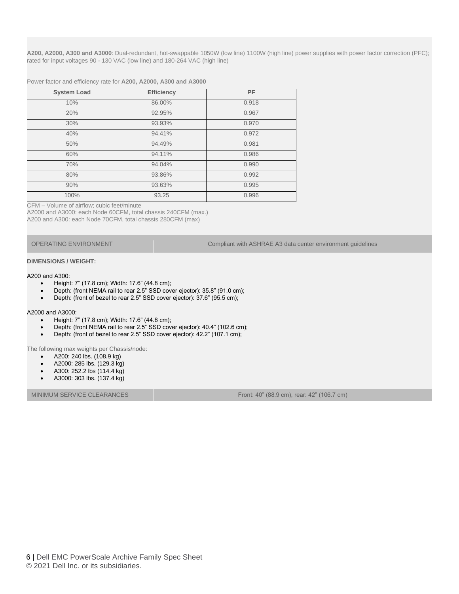**A200, A2000, A300 and A3000**: Dual-redundant, hot-swappable 1050W (low line) 1100W (high line) power supplies with power factor correction (PFC); rated for input voltages 90 - 130 VAC (low line) and 180-264 VAC (high line)

Power factor and efficiency rate for **A200, A2000, A300 and A3000**

| <b>System Load</b> | <b>Efficiency</b> | <b>PF</b> |
|--------------------|-------------------|-----------|
| 10%                | 86.00%            | 0.918     |
| 20%                | 92.95%            | 0.967     |
| 30%                | 93.93%            | 0.970     |
| 40%                | 94.41%            | 0.972     |
| 50%                | 94.49%            | 0.981     |
| 60%                | 94.11%            | 0.986     |
| 70%                | 94.04%            | 0.990     |
| 80%                | 93.86%            | 0.992     |
| 90%                | 93.63%            | 0.995     |
| 100%               | 93.25             | 0.996     |

CFM – Volume of airflow; cubic feet/minute

A2000 and A3000: each Node 60CFM, total chassis 240CFM (max.) A200 and A300: each Node 70CFM, total chassis 280CFM (max)

OPERATING ENVIRONMENT Compliant with ASHRAE A3 data center environment guidelines

#### **DIMENSIONS / WEIGHT:**

#### A200 and A300:

- Height: 7" (17.8 cm); Width: 17.6" (44.8 cm);
- Depth: (front NEMA rail to rear 2.5" SSD cover ejector): 35.8" (91.0 cm);
- Depth: (front of bezel to rear 2.5" SSD cover ejector): 37.6" (95.5 cm);

#### A2000 and A3000:

- Height: 7" (17.8 cm); Width: 17.6" (44.8 cm);
- Depth: (front NEMA rail to rear 2.5" SSD cover ejector): 40.4" (102.6 cm);
- Depth: (front of bezel to rear 2.5" SSD cover ejector): 42.2" (107.1 cm);

The following max weights per Chassis/node:

- A200: 240 lbs. (108.9 kg)
- A2000: 285 lbs. (129.3 kg)
- A300: 252.2 lbs (114.4 kg)
- A3000: 303 lbs. (137.4 kg)

MINIMUM SERVICE CLEARANCES FROM THE SERVICE CLEARANCES FROM THE SERVICE OF STATE AND THE SERVICE CLEARANCES